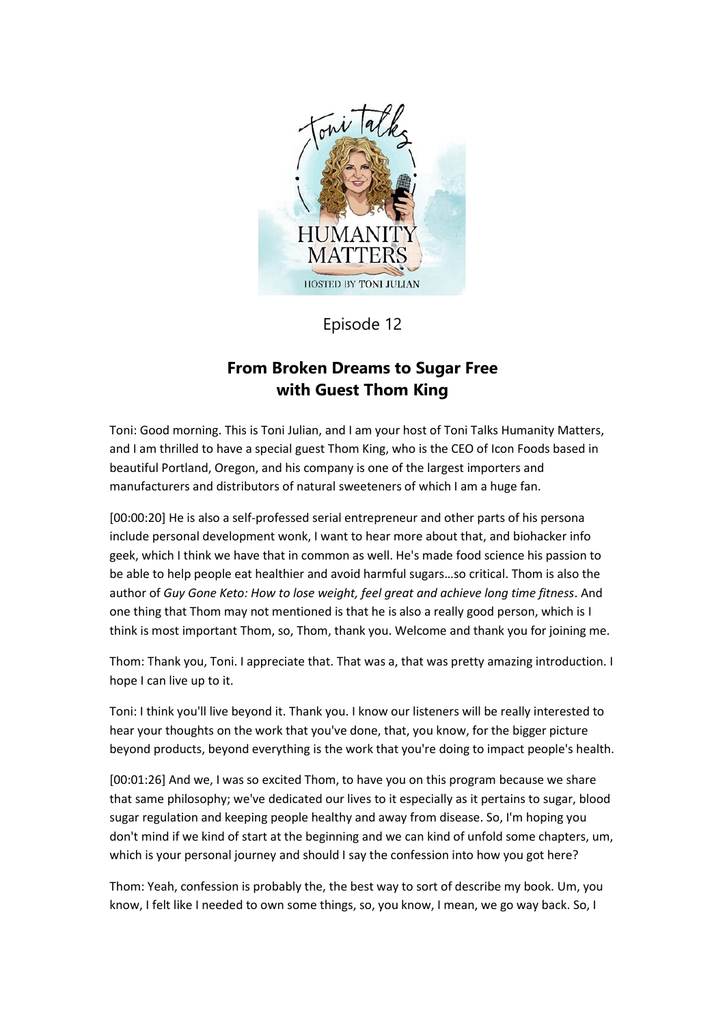

## Episode 12

# **From Broken Dreams to Sugar Free with Guest Thom King**

Toni: Good morning. This is Toni Julian, and I am your host of Toni Talks Humanity Matters, and I am thrilled to have a special guest Thom King, who is the CEO of Icon Foods based in beautiful Portland, Oregon, and his company is one of the largest importers and manufacturers and distributors of natural sweeteners of which I am a huge fan.

[00:00:20] He is also a self-professed serial entrepreneur and other parts of his persona include personal development wonk, I want to hear more about that, and biohacker info geek, which I think we have that in common as well. He's made food science his passion to be able to help people eat healthier and avoid harmful sugars…so critical. Thom is also the author of *Guy Gone Keto: How to lose weight, feel great and achieve long time fitness*. And one thing that Thom may not mentioned is that he is also a really good person, which is I think is most important Thom, so, Thom, thank you. Welcome and thank you for joining me.

Thom: Thank you, Toni. I appreciate that. That was a, that was pretty amazing introduction. I hope I can live up to it.

Toni: I think you'll live beyond it. Thank you. I know our listeners will be really interested to hear your thoughts on the work that you've done, that, you know, for the bigger picture beyond products, beyond everything is the work that you're doing to impact people's health.

[00:01:26] And we, I was so excited Thom, to have you on this program because we share that same philosophy; we've dedicated our lives to it especially as it pertains to sugar, blood sugar regulation and keeping people healthy and away from disease. So, I'm hoping you don't mind if we kind of start at the beginning and we can kind of unfold some chapters, um, which is your personal journey and should I say the confession into how you got here?

Thom: Yeah, confession is probably the, the best way to sort of describe my book. Um, you know, I felt like I needed to own some things, so, you know, I mean, we go way back. So, I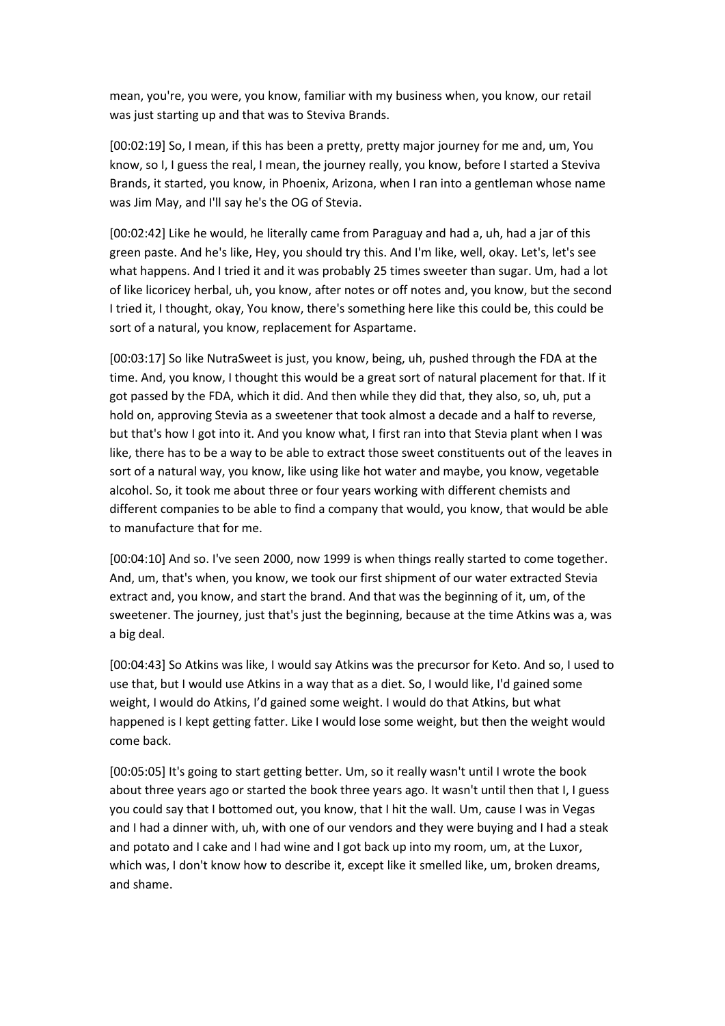mean, you're, you were, you know, familiar with my business when, you know, our retail was just starting up and that was to Steviva Brands.

[00:02:19] So, I mean, if this has been a pretty, pretty major journey for me and, um, You know, so I, I guess the real, I mean, the journey really, you know, before I started a Steviva Brands, it started, you know, in Phoenix, Arizona, when I ran into a gentleman whose name was Jim May, and I'll say he's the OG of Stevia.

[00:02:42] Like he would, he literally came from Paraguay and had a, uh, had a jar of this green paste. And he's like, Hey, you should try this. And I'm like, well, okay. Let's, let's see what happens. And I tried it and it was probably 25 times sweeter than sugar. Um, had a lot of like licoricey herbal, uh, you know, after notes or off notes and, you know, but the second I tried it, I thought, okay, You know, there's something here like this could be, this could be sort of a natural, you know, replacement for Aspartame.

[00:03:17] So like NutraSweet is just, you know, being, uh, pushed through the FDA at the time. And, you know, I thought this would be a great sort of natural placement for that. If it got passed by the FDA, which it did. And then while they did that, they also, so, uh, put a hold on, approving Stevia as a sweetener that took almost a decade and a half to reverse, but that's how I got into it. And you know what, I first ran into that Stevia plant when I was like, there has to be a way to be able to extract those sweet constituents out of the leaves in sort of a natural way, you know, like using like hot water and maybe, you know, vegetable alcohol. So, it took me about three or four years working with different chemists and different companies to be able to find a company that would, you know, that would be able to manufacture that for me.

[00:04:10] And so. I've seen 2000, now 1999 is when things really started to come together. And, um, that's when, you know, we took our first shipment of our water extracted Stevia extract and, you know, and start the brand. And that was the beginning of it, um, of the sweetener. The journey, just that's just the beginning, because at the time Atkins was a, was a big deal.

[00:04:43] So Atkins was like, I would say Atkins was the precursor for Keto. And so, I used to use that, but I would use Atkins in a way that as a diet. So, I would like, I'd gained some weight, I would do Atkins, I'd gained some weight. I would do that Atkins, but what happened is I kept getting fatter. Like I would lose some weight, but then the weight would come back.

[00:05:05] It's going to start getting better. Um, so it really wasn't until I wrote the book about three years ago or started the book three years ago. It wasn't until then that I, I guess you could say that I bottomed out, you know, that I hit the wall. Um, cause I was in Vegas and I had a dinner with, uh, with one of our vendors and they were buying and I had a steak and potato and I cake and I had wine and I got back up into my room, um, at the Luxor, which was, I don't know how to describe it, except like it smelled like, um, broken dreams, and shame.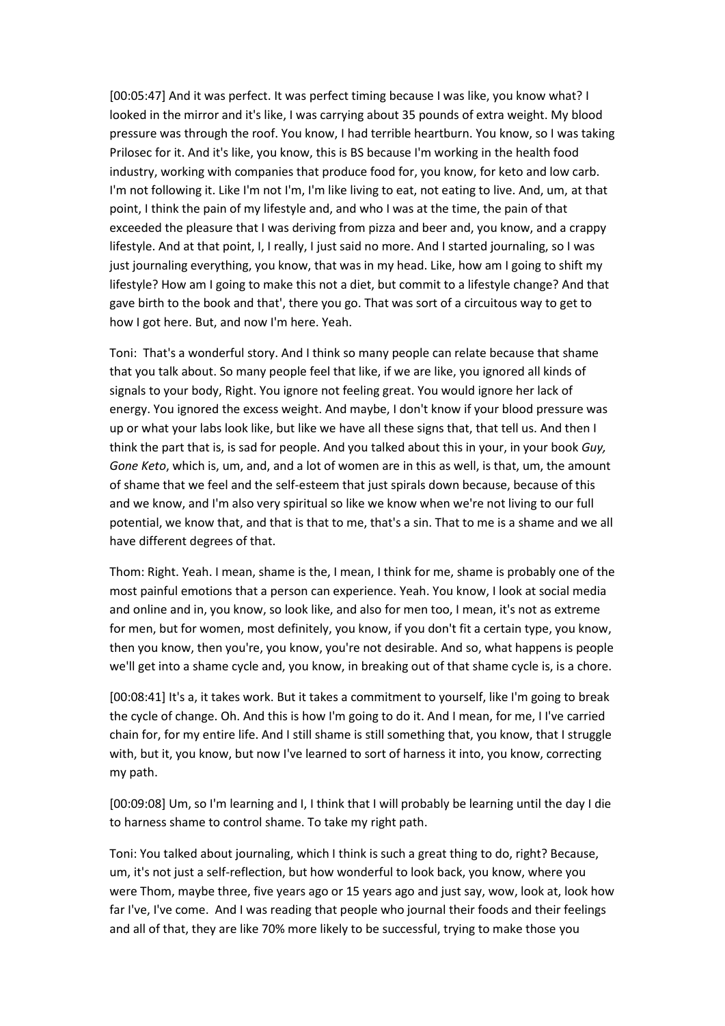[00:05:47] And it was perfect. It was perfect timing because I was like, you know what? I looked in the mirror and it's like, I was carrying about 35 pounds of extra weight. My blood pressure was through the roof. You know, I had terrible heartburn. You know, so I was taking Prilosec for it. And it's like, you know, this is BS because I'm working in the health food industry, working with companies that produce food for, you know, for keto and low carb. I'm not following it. Like I'm not I'm, I'm like living to eat, not eating to live. And, um, at that point, I think the pain of my lifestyle and, and who I was at the time, the pain of that exceeded the pleasure that I was deriving from pizza and beer and, you know, and a crappy lifestyle. And at that point, I, I really, I just said no more. And I started journaling, so I was just journaling everything, you know, that was in my head. Like, how am I going to shift my lifestyle? How am I going to make this not a diet, but commit to a lifestyle change? And that gave birth to the book and that', there you go. That was sort of a circuitous way to get to how I got here. But, and now I'm here. Yeah.

Toni: That's a wonderful story. And I think so many people can relate because that shame that you talk about. So many people feel that like, if we are like, you ignored all kinds of signals to your body, Right. You ignore not feeling great. You would ignore her lack of energy. You ignored the excess weight. And maybe, I don't know if your blood pressure was up or what your labs look like, but like we have all these signs that, that tell us. And then I think the part that is, is sad for people. And you talked about this in your, in your book *Guy, Gone Keto*, which is, um, and, and a lot of women are in this as well, is that, um, the amount of shame that we feel and the self-esteem that just spirals down because, because of this and we know, and I'm also very spiritual so like we know when we're not living to our full potential, we know that, and that is that to me, that's a sin. That to me is a shame and we all have different degrees of that.

Thom: Right. Yeah. I mean, shame is the, I mean, I think for me, shame is probably one of the most painful emotions that a person can experience. Yeah. You know, I look at social media and online and in, you know, so look like, and also for men too, I mean, it's not as extreme for men, but for women, most definitely, you know, if you don't fit a certain type, you know, then you know, then you're, you know, you're not desirable. And so, what happens is people we'll get into a shame cycle and, you know, in breaking out of that shame cycle is, is a chore.

[00:08:41] It's a, it takes work. But it takes a commitment to yourself, like I'm going to break the cycle of change. Oh. And this is how I'm going to do it. And I mean, for me, I I've carried chain for, for my entire life. And I still shame is still something that, you know, that I struggle with, but it, you know, but now I've learned to sort of harness it into, you know, correcting my path.

[00:09:08] Um, so I'm learning and I, I think that I will probably be learning until the day I die to harness shame to control shame. To take my right path.

Toni: You talked about journaling, which I think is such a great thing to do, right? Because, um, it's not just a self-reflection, but how wonderful to look back, you know, where you were Thom, maybe three, five years ago or 15 years ago and just say, wow, look at, look how far I've, I've come. And I was reading that people who journal their foods and their feelings and all of that, they are like 70% more likely to be successful, trying to make those you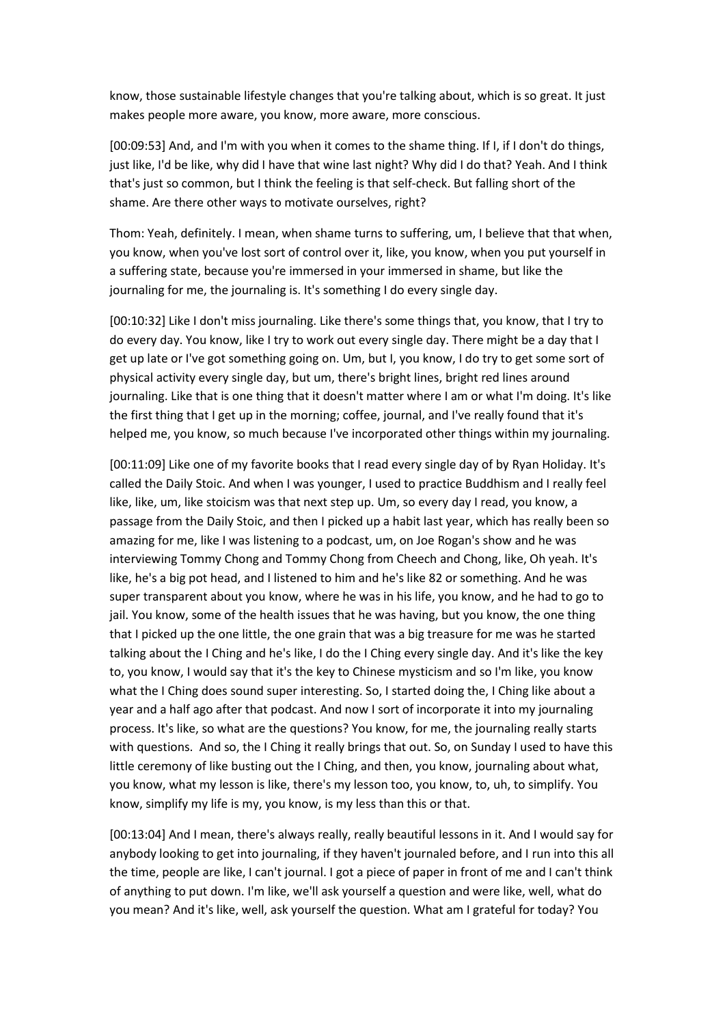know, those sustainable lifestyle changes that you're talking about, which is so great. It just makes people more aware, you know, more aware, more conscious.

[00:09:53] And, and I'm with you when it comes to the shame thing. If I, if I don't do things, just like, I'd be like, why did I have that wine last night? Why did I do that? Yeah. And I think that's just so common, but I think the feeling is that self-check. But falling short of the shame. Are there other ways to motivate ourselves, right?

Thom: Yeah, definitely. I mean, when shame turns to suffering, um, I believe that that when, you know, when you've lost sort of control over it, like, you know, when you put yourself in a suffering state, because you're immersed in your immersed in shame, but like the journaling for me, the journaling is. It's something I do every single day.

[00:10:32] Like I don't miss journaling. Like there's some things that, you know, that I try to do every day. You know, like I try to work out every single day. There might be a day that I get up late or I've got something going on. Um, but I, you know, I do try to get some sort of physical activity every single day, but um, there's bright lines, bright red lines around journaling. Like that is one thing that it doesn't matter where I am or what I'm doing. It's like the first thing that I get up in the morning; coffee, journal, and I've really found that it's helped me, you know, so much because I've incorporated other things within my journaling.

[00:11:09] Like one of my favorite books that I read every single day of by Ryan Holiday. It's called the Daily Stoic. And when I was younger, I used to practice Buddhism and I really feel like, like, um, like stoicism was that next step up. Um, so every day I read, you know, a passage from the Daily Stoic, and then I picked up a habit last year, which has really been so amazing for me, like I was listening to a podcast, um, on Joe Rogan's show and he was interviewing Tommy Chong and Tommy Chong from Cheech and Chong, like, Oh yeah. It's like, he's a big pot head, and I listened to him and he's like 82 or something. And he was super transparent about you know, where he was in his life, you know, and he had to go to jail. You know, some of the health issues that he was having, but you know, the one thing that I picked up the one little, the one grain that was a big treasure for me was he started talking about the I Ching and he's like, I do the I Ching every single day. And it's like the key to, you know, I would say that it's the key to Chinese mysticism and so I'm like, you know what the I Ching does sound super interesting. So, I started doing the, I Ching like about a year and a half ago after that podcast. And now I sort of incorporate it into my journaling process. It's like, so what are the questions? You know, for me, the journaling really starts with questions. And so, the I Ching it really brings that out. So, on Sunday I used to have this little ceremony of like busting out the I Ching, and then, you know, journaling about what, you know, what my lesson is like, there's my lesson too, you know, to, uh, to simplify. You know, simplify my life is my, you know, is my less than this or that.

[00:13:04] And I mean, there's always really, really beautiful lessons in it. And I would say for anybody looking to get into journaling, if they haven't journaled before, and I run into this all the time, people are like, I can't journal. I got a piece of paper in front of me and I can't think of anything to put down. I'm like, we'll ask yourself a question and were like, well, what do you mean? And it's like, well, ask yourself the question. What am I grateful for today? You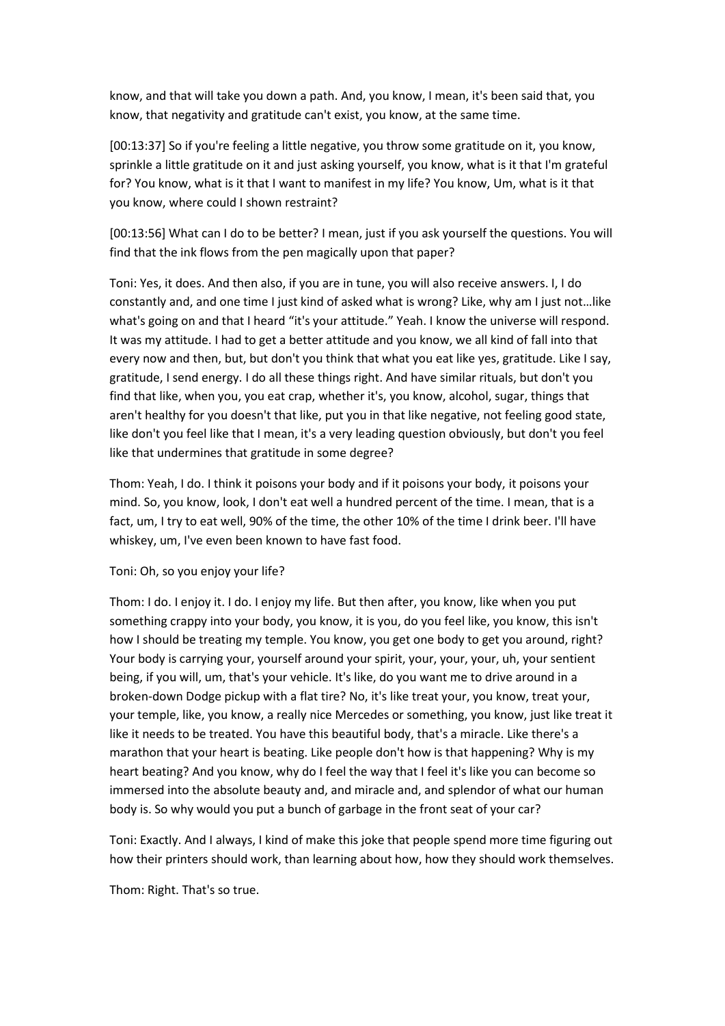know, and that will take you down a path. And, you know, I mean, it's been said that, you know, that negativity and gratitude can't exist, you know, at the same time.

[00:13:37] So if you're feeling a little negative, you throw some gratitude on it, you know, sprinkle a little gratitude on it and just asking yourself, you know, what is it that I'm grateful for? You know, what is it that I want to manifest in my life? You know, Um, what is it that you know, where could I shown restraint?

[00:13:56] What can I do to be better? I mean, just if you ask yourself the questions. You will find that the ink flows from the pen magically upon that paper?

Toni: Yes, it does. And then also, if you are in tune, you will also receive answers. I, I do constantly and, and one time I just kind of asked what is wrong? Like, why am I just not…like what's going on and that I heard "it's your attitude." Yeah. I know the universe will respond. It was my attitude. I had to get a better attitude and you know, we all kind of fall into that every now and then, but, but don't you think that what you eat like yes, gratitude. Like I say, gratitude, I send energy. I do all these things right. And have similar rituals, but don't you find that like, when you, you eat crap, whether it's, you know, alcohol, sugar, things that aren't healthy for you doesn't that like, put you in that like negative, not feeling good state, like don't you feel like that I mean, it's a very leading question obviously, but don't you feel like that undermines that gratitude in some degree?

Thom: Yeah, I do. I think it poisons your body and if it poisons your body, it poisons your mind. So, you know, look, I don't eat well a hundred percent of the time. I mean, that is a fact, um, I try to eat well, 90% of the time, the other 10% of the time I drink beer. I'll have whiskey, um, I've even been known to have fast food.

#### Toni: Oh, so you enjoy your life?

Thom: I do. I enjoy it. I do. I enjoy my life. But then after, you know, like when you put something crappy into your body, you know, it is you, do you feel like, you know, this isn't how I should be treating my temple. You know, you get one body to get you around, right? Your body is carrying your, yourself around your spirit, your, your, your, uh, your sentient being, if you will, um, that's your vehicle. It's like, do you want me to drive around in a broken-down Dodge pickup with a flat tire? No, it's like treat your, you know, treat your, your temple, like, you know, a really nice Mercedes or something, you know, just like treat it like it needs to be treated. You have this beautiful body, that's a miracle. Like there's a marathon that your heart is beating. Like people don't how is that happening? Why is my heart beating? And you know, why do I feel the way that I feel it's like you can become so immersed into the absolute beauty and, and miracle and, and splendor of what our human body is. So why would you put a bunch of garbage in the front seat of your car?

Toni: Exactly. And I always, I kind of make this joke that people spend more time figuring out how their printers should work, than learning about how, how they should work themselves.

Thom: Right. That's so true.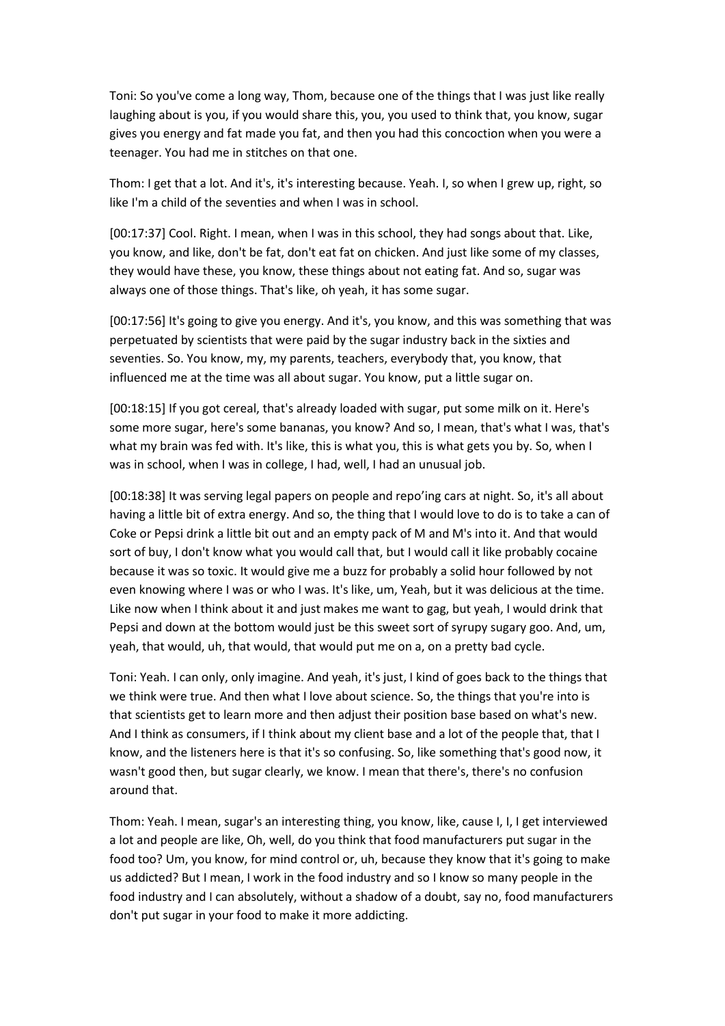Toni: So you've come a long way, Thom, because one of the things that I was just like really laughing about is you, if you would share this, you, you used to think that, you know, sugar gives you energy and fat made you fat, and then you had this concoction when you were a teenager. You had me in stitches on that one.

Thom: I get that a lot. And it's, it's interesting because. Yeah. I, so when I grew up, right, so like I'm a child of the seventies and when I was in school.

[00:17:37] Cool. Right. I mean, when I was in this school, they had songs about that. Like, you know, and like, don't be fat, don't eat fat on chicken. And just like some of my classes, they would have these, you know, these things about not eating fat. And so, sugar was always one of those things. That's like, oh yeah, it has some sugar.

[00:17:56] It's going to give you energy. And it's, you know, and this was something that was perpetuated by scientists that were paid by the sugar industry back in the sixties and seventies. So. You know, my, my parents, teachers, everybody that, you know, that influenced me at the time was all about sugar. You know, put a little sugar on.

[00:18:15] If you got cereal, that's already loaded with sugar, put some milk on it. Here's some more sugar, here's some bananas, you know? And so, I mean, that's what I was, that's what my brain was fed with. It's like, this is what you, this is what gets you by. So, when I was in school, when I was in college, I had, well, I had an unusual job.

[00:18:38] It was serving legal papers on people and repo'ing cars at night. So, it's all about having a little bit of extra energy. And so, the thing that I would love to do is to take a can of Coke or Pepsi drink a little bit out and an empty pack of M and M's into it. And that would sort of buy, I don't know what you would call that, but I would call it like probably cocaine because it was so toxic. It would give me a buzz for probably a solid hour followed by not even knowing where I was or who I was. It's like, um, Yeah, but it was delicious at the time. Like now when I think about it and just makes me want to gag, but yeah, I would drink that Pepsi and down at the bottom would just be this sweet sort of syrupy sugary goo. And, um, yeah, that would, uh, that would, that would put me on a, on a pretty bad cycle.

Toni: Yeah. I can only, only imagine. And yeah, it's just, I kind of goes back to the things that we think were true. And then what I love about science. So, the things that you're into is that scientists get to learn more and then adjust their position base based on what's new. And I think as consumers, if I think about my client base and a lot of the people that, that I know, and the listeners here is that it's so confusing. So, like something that's good now, it wasn't good then, but sugar clearly, we know. I mean that there's, there's no confusion around that.

Thom: Yeah. I mean, sugar's an interesting thing, you know, like, cause I, I, I get interviewed a lot and people are like, Oh, well, do you think that food manufacturers put sugar in the food too? Um, you know, for mind control or, uh, because they know that it's going to make us addicted? But I mean, I work in the food industry and so I know so many people in the food industry and I can absolutely, without a shadow of a doubt, say no, food manufacturers don't put sugar in your food to make it more addicting.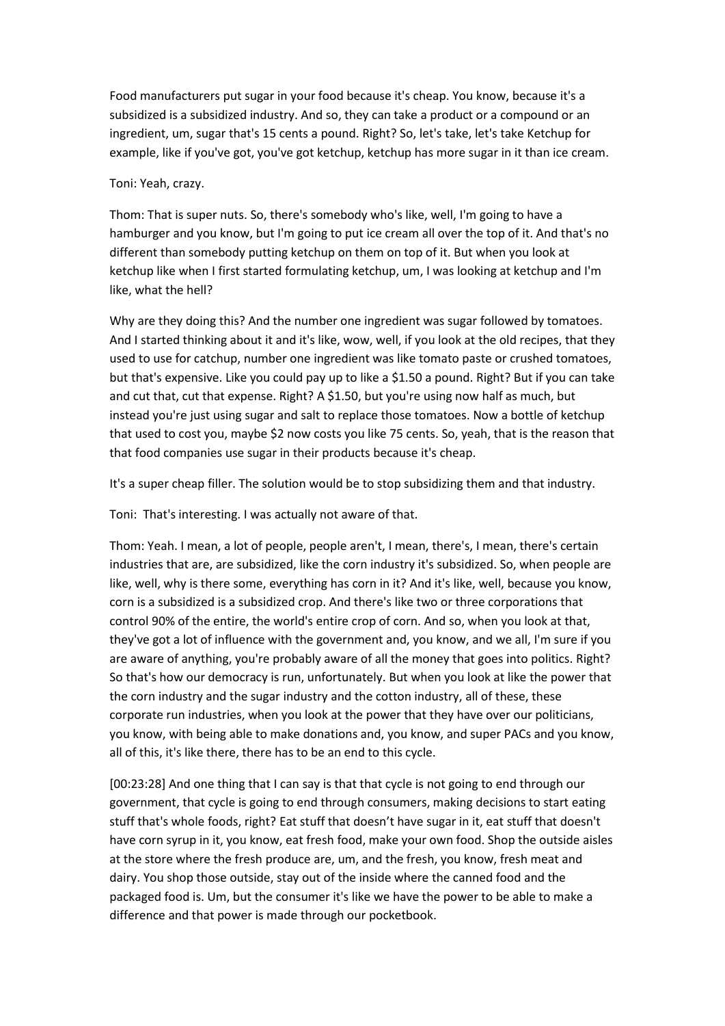Food manufacturers put sugar in your food because it's cheap. You know, because it's a subsidized is a subsidized industry. And so, they can take a product or a compound or an ingredient, um, sugar that's 15 cents a pound. Right? So, let's take, let's take Ketchup for example, like if you've got, you've got ketchup, ketchup has more sugar in it than ice cream.

### Toni: Yeah, crazy.

Thom: That is super nuts. So, there's somebody who's like, well, I'm going to have a hamburger and you know, but I'm going to put ice cream all over the top of it. And that's no different than somebody putting ketchup on them on top of it. But when you look at ketchup like when I first started formulating ketchup, um, I was looking at ketchup and I'm like, what the hell?

Why are they doing this? And the number one ingredient was sugar followed by tomatoes. And I started thinking about it and it's like, wow, well, if you look at the old recipes, that they used to use for catchup, number one ingredient was like tomato paste or crushed tomatoes, but that's expensive. Like you could pay up to like a \$1.50 a pound. Right? But if you can take and cut that, cut that expense. Right? A \$1.50, but you're using now half as much, but instead you're just using sugar and salt to replace those tomatoes. Now a bottle of ketchup that used to cost you, maybe \$2 now costs you like 75 cents. So, yeah, that is the reason that that food companies use sugar in their products because it's cheap.

It's a super cheap filler. The solution would be to stop subsidizing them and that industry.

Toni: That's interesting. I was actually not aware of that.

Thom: Yeah. I mean, a lot of people, people aren't, I mean, there's, I mean, there's certain industries that are, are subsidized, like the corn industry it's subsidized. So, when people are like, well, why is there some, everything has corn in it? And it's like, well, because you know, corn is a subsidized is a subsidized crop. And there's like two or three corporations that control 90% of the entire, the world's entire crop of corn. And so, when you look at that, they've got a lot of influence with the government and, you know, and we all, I'm sure if you are aware of anything, you're probably aware of all the money that goes into politics. Right? So that's how our democracy is run, unfortunately. But when you look at like the power that the corn industry and the sugar industry and the cotton industry, all of these, these corporate run industries, when you look at the power that they have over our politicians, you know, with being able to make donations and, you know, and super PACs and you know, all of this, it's like there, there has to be an end to this cycle.

[00:23:28] And one thing that I can say is that that cycle is not going to end through our government, that cycle is going to end through consumers, making decisions to start eating stuff that's whole foods, right? Eat stuff that doesn't have sugar in it, eat stuff that doesn't have corn syrup in it, you know, eat fresh food, make your own food. Shop the outside aisles at the store where the fresh produce are, um, and the fresh, you know, fresh meat and dairy. You shop those outside, stay out of the inside where the canned food and the packaged food is. Um, but the consumer it's like we have the power to be able to make a difference and that power is made through our pocketbook.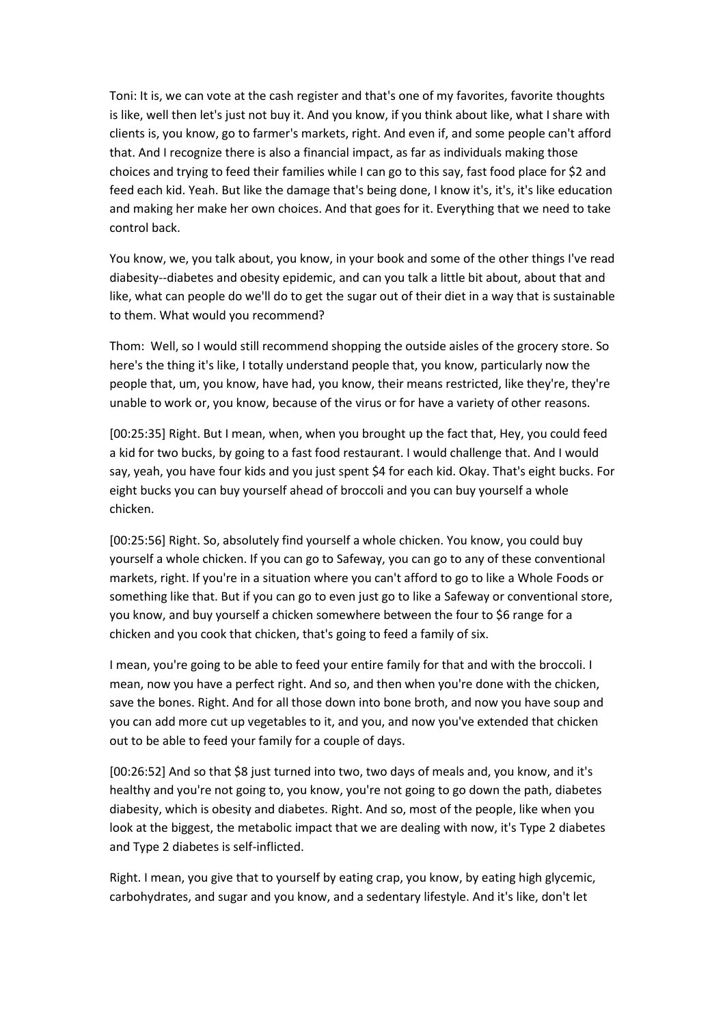Toni: It is, we can vote at the cash register and that's one of my favorites, favorite thoughts is like, well then let's just not buy it. And you know, if you think about like, what I share with clients is, you know, go to farmer's markets, right. And even if, and some people can't afford that. And I recognize there is also a financial impact, as far as individuals making those choices and trying to feed their families while I can go to this say, fast food place for \$2 and feed each kid. Yeah. But like the damage that's being done, I know it's, it's, it's like education and making her make her own choices. And that goes for it. Everything that we need to take control back.

You know, we, you talk about, you know, in your book and some of the other things I've read diabesity--diabetes and obesity epidemic, and can you talk a little bit about, about that and like, what can people do we'll do to get the sugar out of their diet in a way that is sustainable to them. What would you recommend?

Thom: Well, so I would still recommend shopping the outside aisles of the grocery store. So here's the thing it's like, I totally understand people that, you know, particularly now the people that, um, you know, have had, you know, their means restricted, like they're, they're unable to work or, you know, because of the virus or for have a variety of other reasons.

[00:25:35] Right. But I mean, when, when you brought up the fact that, Hey, you could feed a kid for two bucks, by going to a fast food restaurant. I would challenge that. And I would say, yeah, you have four kids and you just spent \$4 for each kid. Okay. That's eight bucks. For eight bucks you can buy yourself ahead of broccoli and you can buy yourself a whole chicken.

[00:25:56] Right. So, absolutely find yourself a whole chicken. You know, you could buy yourself a whole chicken. If you can go to Safeway, you can go to any of these conventional markets, right. If you're in a situation where you can't afford to go to like a Whole Foods or something like that. But if you can go to even just go to like a Safeway or conventional store, you know, and buy yourself a chicken somewhere between the four to \$6 range for a chicken and you cook that chicken, that's going to feed a family of six.

I mean, you're going to be able to feed your entire family for that and with the broccoli. I mean, now you have a perfect right. And so, and then when you're done with the chicken, save the bones. Right. And for all those down into bone broth, and now you have soup and you can add more cut up vegetables to it, and you, and now you've extended that chicken out to be able to feed your family for a couple of days.

[00:26:52] And so that \$8 just turned into two, two days of meals and, you know, and it's healthy and you're not going to, you know, you're not going to go down the path, diabetes diabesity, which is obesity and diabetes. Right. And so, most of the people, like when you look at the biggest, the metabolic impact that we are dealing with now, it's Type 2 diabetes and Type 2 diabetes is self-inflicted.

Right. I mean, you give that to yourself by eating crap, you know, by eating high glycemic, carbohydrates, and sugar and you know, and a sedentary lifestyle. And it's like, don't let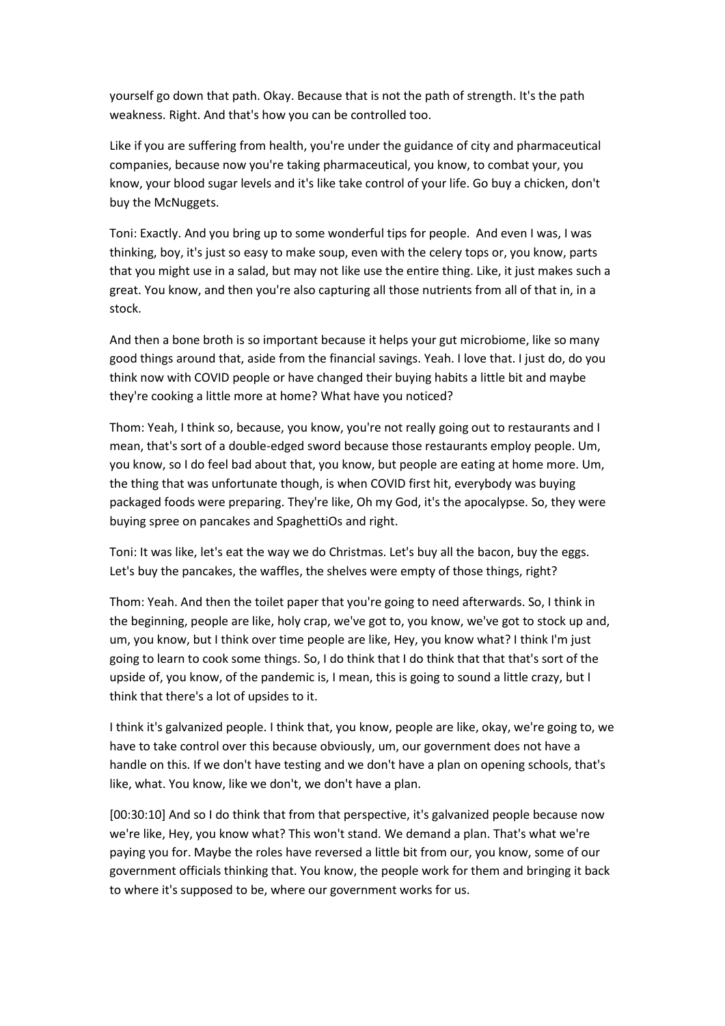yourself go down that path. Okay. Because that is not the path of strength. It's the path weakness. Right. And that's how you can be controlled too.

Like if you are suffering from health, you're under the guidance of city and pharmaceutical companies, because now you're taking pharmaceutical, you know, to combat your, you know, your blood sugar levels and it's like take control of your life. Go buy a chicken, don't buy the McNuggets.

Toni: Exactly. And you bring up to some wonderful tips for people. And even I was, I was thinking, boy, it's just so easy to make soup, even with the celery tops or, you know, parts that you might use in a salad, but may not like use the entire thing. Like, it just makes such a great. You know, and then you're also capturing all those nutrients from all of that in, in a stock.

And then a bone broth is so important because it helps your gut microbiome, like so many good things around that, aside from the financial savings. Yeah. I love that. I just do, do you think now with COVID people or have changed their buying habits a little bit and maybe they're cooking a little more at home? What have you noticed?

Thom: Yeah, I think so, because, you know, you're not really going out to restaurants and I mean, that's sort of a double-edged sword because those restaurants employ people. Um, you know, so I do feel bad about that, you know, but people are eating at home more. Um, the thing that was unfortunate though, is when COVID first hit, everybody was buying packaged foods were preparing. They're like, Oh my God, it's the apocalypse. So, they were buying spree on pancakes and SpaghettiOs and right.

Toni: It was like, let's eat the way we do Christmas. Let's buy all the bacon, buy the eggs. Let's buy the pancakes, the waffles, the shelves were empty of those things, right?

Thom: Yeah. And then the toilet paper that you're going to need afterwards. So, I think in the beginning, people are like, holy crap, we've got to, you know, we've got to stock up and, um, you know, but I think over time people are like, Hey, you know what? I think I'm just going to learn to cook some things. So, I do think that I do think that that that's sort of the upside of, you know, of the pandemic is, I mean, this is going to sound a little crazy, but I think that there's a lot of upsides to it.

I think it's galvanized people. I think that, you know, people are like, okay, we're going to, we have to take control over this because obviously, um, our government does not have a handle on this. If we don't have testing and we don't have a plan on opening schools, that's like, what. You know, like we don't, we don't have a plan.

[00:30:10] And so I do think that from that perspective, it's galvanized people because now we're like, Hey, you know what? This won't stand. We demand a plan. That's what we're paying you for. Maybe the roles have reversed a little bit from our, you know, some of our government officials thinking that. You know, the people work for them and bringing it back to where it's supposed to be, where our government works for us.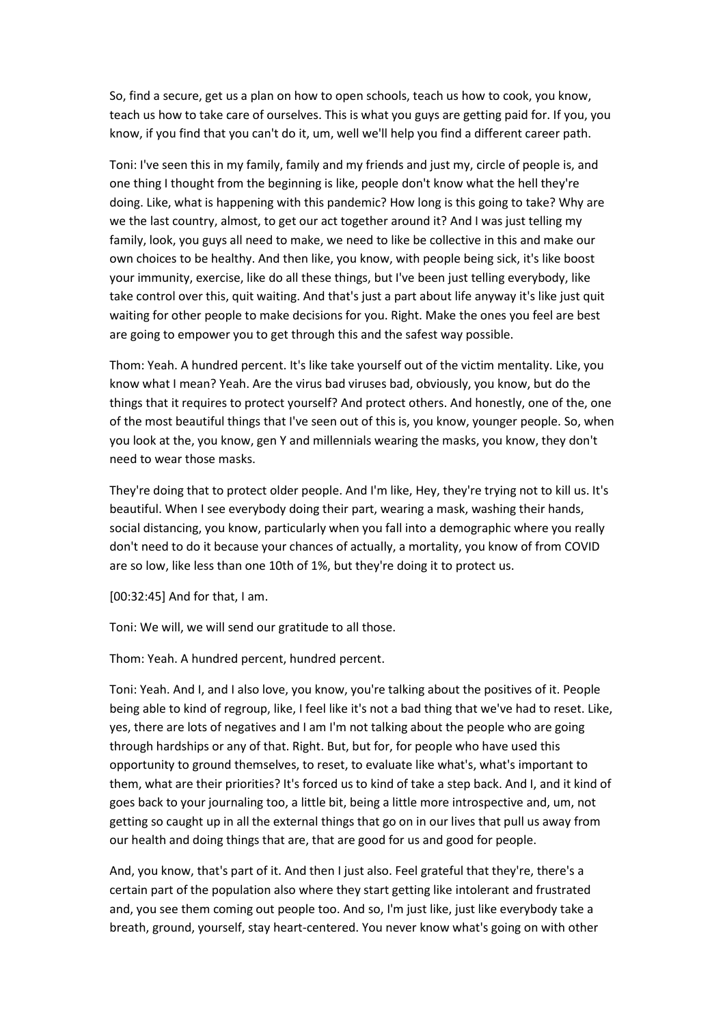So, find a secure, get us a plan on how to open schools, teach us how to cook, you know, teach us how to take care of ourselves. This is what you guys are getting paid for. If you, you know, if you find that you can't do it, um, well we'll help you find a different career path.

Toni: I've seen this in my family, family and my friends and just my, circle of people is, and one thing I thought from the beginning is like, people don't know what the hell they're doing. Like, what is happening with this pandemic? How long is this going to take? Why are we the last country, almost, to get our act together around it? And I was just telling my family, look, you guys all need to make, we need to like be collective in this and make our own choices to be healthy. And then like, you know, with people being sick, it's like boost your immunity, exercise, like do all these things, but I've been just telling everybody, like take control over this, quit waiting. And that's just a part about life anyway it's like just quit waiting for other people to make decisions for you. Right. Make the ones you feel are best are going to empower you to get through this and the safest way possible.

Thom: Yeah. A hundred percent. It's like take yourself out of the victim mentality. Like, you know what I mean? Yeah. Are the virus bad viruses bad, obviously, you know, but do the things that it requires to protect yourself? And protect others. And honestly, one of the, one of the most beautiful things that I've seen out of this is, you know, younger people. So, when you look at the, you know, gen Y and millennials wearing the masks, you know, they don't need to wear those masks.

They're doing that to protect older people. And I'm like, Hey, they're trying not to kill us. It's beautiful. When I see everybody doing their part, wearing a mask, washing their hands, social distancing, you know, particularly when you fall into a demographic where you really don't need to do it because your chances of actually, a mortality, you know of from COVID are so low, like less than one 10th of 1%, but they're doing it to protect us.

[00:32:45] And for that, I am.

Toni: We will, we will send our gratitude to all those.

Thom: Yeah. A hundred percent, hundred percent.

Toni: Yeah. And I, and I also love, you know, you're talking about the positives of it. People being able to kind of regroup, like, I feel like it's not a bad thing that we've had to reset. Like, yes, there are lots of negatives and I am I'm not talking about the people who are going through hardships or any of that. Right. But, but for, for people who have used this opportunity to ground themselves, to reset, to evaluate like what's, what's important to them, what are their priorities? It's forced us to kind of take a step back. And I, and it kind of goes back to your journaling too, a little bit, being a little more introspective and, um, not getting so caught up in all the external things that go on in our lives that pull us away from our health and doing things that are, that are good for us and good for people.

And, you know, that's part of it. And then I just also. Feel grateful that they're, there's a certain part of the population also where they start getting like intolerant and frustrated and, you see them coming out people too. And so, I'm just like, just like everybody take a breath, ground, yourself, stay heart-centered. You never know what's going on with other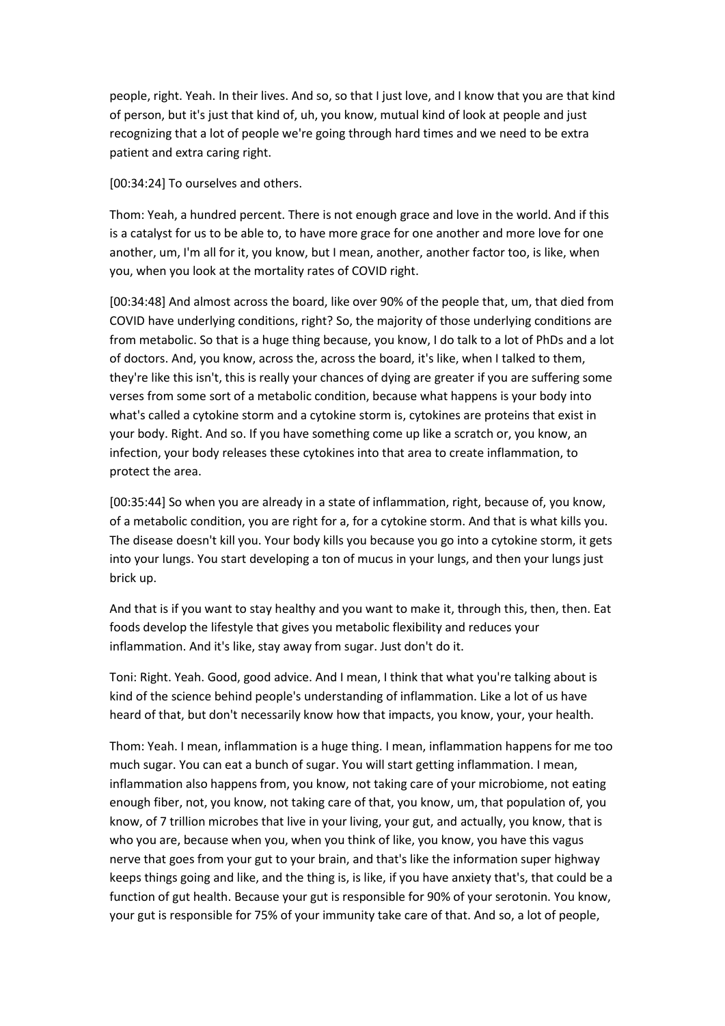people, right. Yeah. In their lives. And so, so that I just love, and I know that you are that kind of person, but it's just that kind of, uh, you know, mutual kind of look at people and just recognizing that a lot of people we're going through hard times and we need to be extra patient and extra caring right.

[00:34:24] To ourselves and others.

Thom: Yeah, a hundred percent. There is not enough grace and love in the world. And if this is a catalyst for us to be able to, to have more grace for one another and more love for one another, um, I'm all for it, you know, but I mean, another, another factor too, is like, when you, when you look at the mortality rates of COVID right.

[00:34:48] And almost across the board, like over 90% of the people that, um, that died from COVID have underlying conditions, right? So, the majority of those underlying conditions are from metabolic. So that is a huge thing because, you know, I do talk to a lot of PhDs and a lot of doctors. And, you know, across the, across the board, it's like, when I talked to them, they're like this isn't, this is really your chances of dying are greater if you are suffering some verses from some sort of a metabolic condition, because what happens is your body into what's called a cytokine storm and a cytokine storm is, cytokines are proteins that exist in your body. Right. And so. If you have something come up like a scratch or, you know, an infection, your body releases these cytokines into that area to create inflammation, to protect the area.

[00:35:44] So when you are already in a state of inflammation, right, because of, you know, of a metabolic condition, you are right for a, for a cytokine storm. And that is what kills you. The disease doesn't kill you. Your body kills you because you go into a cytokine storm, it gets into your lungs. You start developing a ton of mucus in your lungs, and then your lungs just brick up.

And that is if you want to stay healthy and you want to make it, through this, then, then. Eat foods develop the lifestyle that gives you metabolic flexibility and reduces your inflammation. And it's like, stay away from sugar. Just don't do it.

Toni: Right. Yeah. Good, good advice. And I mean, I think that what you're talking about is kind of the science behind people's understanding of inflammation. Like a lot of us have heard of that, but don't necessarily know how that impacts, you know, your, your health.

Thom: Yeah. I mean, inflammation is a huge thing. I mean, inflammation happens for me too much sugar. You can eat a bunch of sugar. You will start getting inflammation. I mean, inflammation also happens from, you know, not taking care of your microbiome, not eating enough fiber, not, you know, not taking care of that, you know, um, that population of, you know, of 7 trillion microbes that live in your living, your gut, and actually, you know, that is who you are, because when you, when you think of like, you know, you have this vagus nerve that goes from your gut to your brain, and that's like the information super highway keeps things going and like, and the thing is, is like, if you have anxiety that's, that could be a function of gut health. Because your gut is responsible for 90% of your serotonin. You know, your gut is responsible for 75% of your immunity take care of that. And so, a lot of people,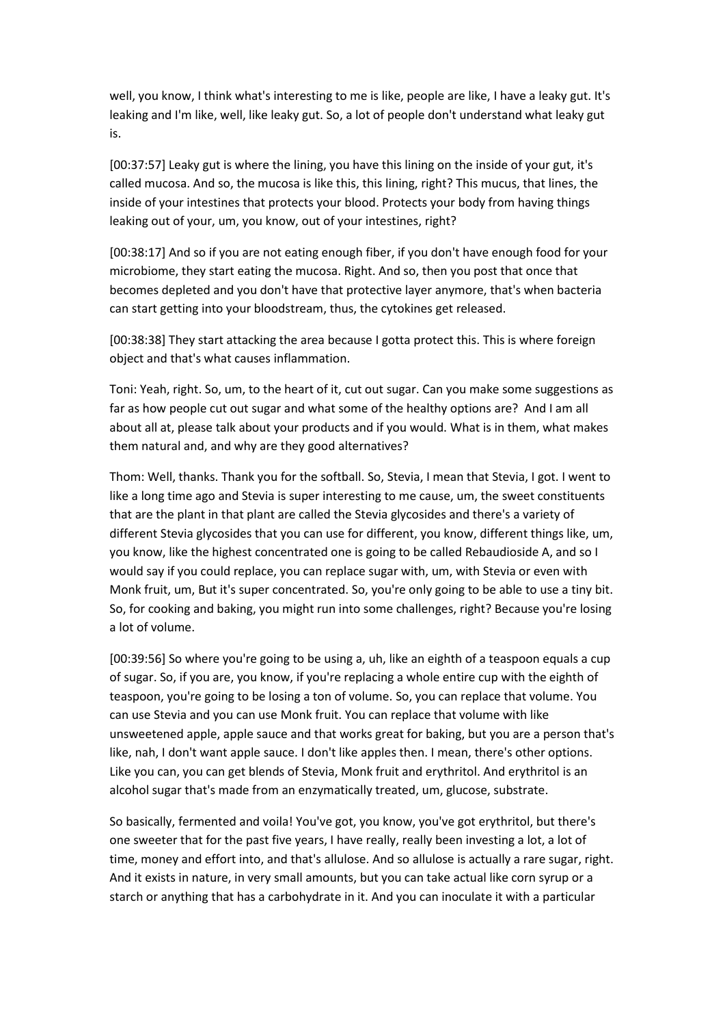well, you know, I think what's interesting to me is like, people are like, I have a leaky gut. It's leaking and I'm like, well, like leaky gut. So, a lot of people don't understand what leaky gut is.

[00:37:57] Leaky gut is where the lining, you have this lining on the inside of your gut, it's called mucosa. And so, the mucosa is like this, this lining, right? This mucus, that lines, the inside of your intestines that protects your blood. Protects your body from having things leaking out of your, um, you know, out of your intestines, right?

[00:38:17] And so if you are not eating enough fiber, if you don't have enough food for your microbiome, they start eating the mucosa. Right. And so, then you post that once that becomes depleted and you don't have that protective layer anymore, that's when bacteria can start getting into your bloodstream, thus, the cytokines get released.

[00:38:38] They start attacking the area because I gotta protect this. This is where foreign object and that's what causes inflammation.

Toni: Yeah, right. So, um, to the heart of it, cut out sugar. Can you make some suggestions as far as how people cut out sugar and what some of the healthy options are? And I am all about all at, please talk about your products and if you would. What is in them, what makes them natural and, and why are they good alternatives?

Thom: Well, thanks. Thank you for the softball. So, Stevia, I mean that Stevia, I got. I went to like a long time ago and Stevia is super interesting to me cause, um, the sweet constituents that are the plant in that plant are called the Stevia glycosides and there's a variety of different Stevia glycosides that you can use for different, you know, different things like, um, you know, like the highest concentrated one is going to be called Rebaudioside A, and so I would say if you could replace, you can replace sugar with, um, with Stevia or even with Monk fruit, um, But it's super concentrated. So, you're only going to be able to use a tiny bit. So, for cooking and baking, you might run into some challenges, right? Because you're losing a lot of volume.

[00:39:56] So where you're going to be using a, uh, like an eighth of a teaspoon equals a cup of sugar. So, if you are, you know, if you're replacing a whole entire cup with the eighth of teaspoon, you're going to be losing a ton of volume. So, you can replace that volume. You can use Stevia and you can use Monk fruit. You can replace that volume with like unsweetened apple, apple sauce and that works great for baking, but you are a person that's like, nah, I don't want apple sauce. I don't like apples then. I mean, there's other options. Like you can, you can get blends of Stevia, Monk fruit and erythritol. And erythritol is an alcohol sugar that's made from an enzymatically treated, um, glucose, substrate.

So basically, fermented and voila! You've got, you know, you've got erythritol, but there's one sweeter that for the past five years, I have really, really been investing a lot, a lot of time, money and effort into, and that's allulose. And so allulose is actually a rare sugar, right. And it exists in nature, in very small amounts, but you can take actual like corn syrup or a starch or anything that has a carbohydrate in it. And you can inoculate it with a particular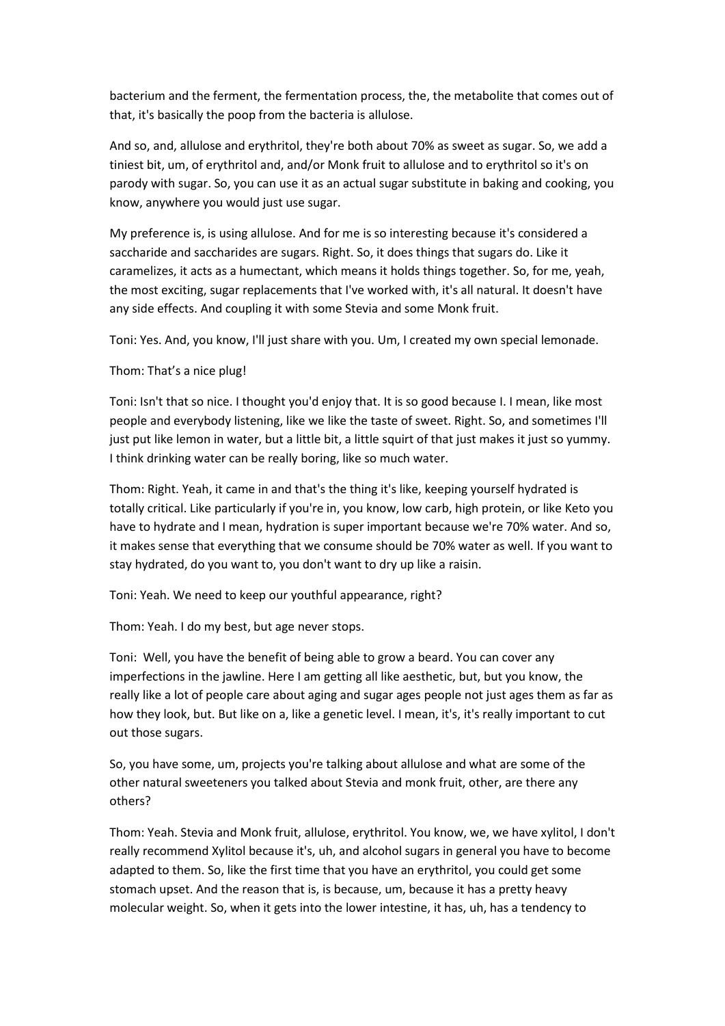bacterium and the ferment, the fermentation process, the, the metabolite that comes out of that, it's basically the poop from the bacteria is allulose.

And so, and, allulose and erythritol, they're both about 70% as sweet as sugar. So, we add a tiniest bit, um, of erythritol and, and/or Monk fruit to allulose and to erythritol so it's on parody with sugar. So, you can use it as an actual sugar substitute in baking and cooking, you know, anywhere you would just use sugar.

My preference is, is using allulose. And for me is so interesting because it's considered a saccharide and saccharides are sugars. Right. So, it does things that sugars do. Like it caramelizes, it acts as a humectant, which means it holds things together. So, for me, yeah, the most exciting, sugar replacements that I've worked with, it's all natural. It doesn't have any side effects. And coupling it with some Stevia and some Monk fruit.

Toni: Yes. And, you know, I'll just share with you. Um, I created my own special lemonade.

## Thom: That's a nice plug!

Toni: Isn't that so nice. I thought you'd enjoy that. It is so good because I. I mean, like most people and everybody listening, like we like the taste of sweet. Right. So, and sometimes I'll just put like lemon in water, but a little bit, a little squirt of that just makes it just so yummy. I think drinking water can be really boring, like so much water.

Thom: Right. Yeah, it came in and that's the thing it's like, keeping yourself hydrated is totally critical. Like particularly if you're in, you know, low carb, high protein, or like Keto you have to hydrate and I mean, hydration is super important because we're 70% water. And so, it makes sense that everything that we consume should be 70% water as well. If you want to stay hydrated, do you want to, you don't want to dry up like a raisin.

Toni: Yeah. We need to keep our youthful appearance, right?

Thom: Yeah. I do my best, but age never stops.

Toni: Well, you have the benefit of being able to grow a beard. You can cover any imperfections in the jawline. Here I am getting all like aesthetic, but, but you know, the really like a lot of people care about aging and sugar ages people not just ages them as far as how they look, but. But like on a, like a genetic level. I mean, it's, it's really important to cut out those sugars.

So, you have some, um, projects you're talking about allulose and what are some of the other natural sweeteners you talked about Stevia and monk fruit, other, are there any others?

Thom: Yeah. Stevia and Monk fruit, allulose, erythritol. You know, we, we have xylitol, I don't really recommend Xylitol because it's, uh, and alcohol sugars in general you have to become adapted to them. So, like the first time that you have an erythritol, you could get some stomach upset. And the reason that is, is because, um, because it has a pretty heavy molecular weight. So, when it gets into the lower intestine, it has, uh, has a tendency to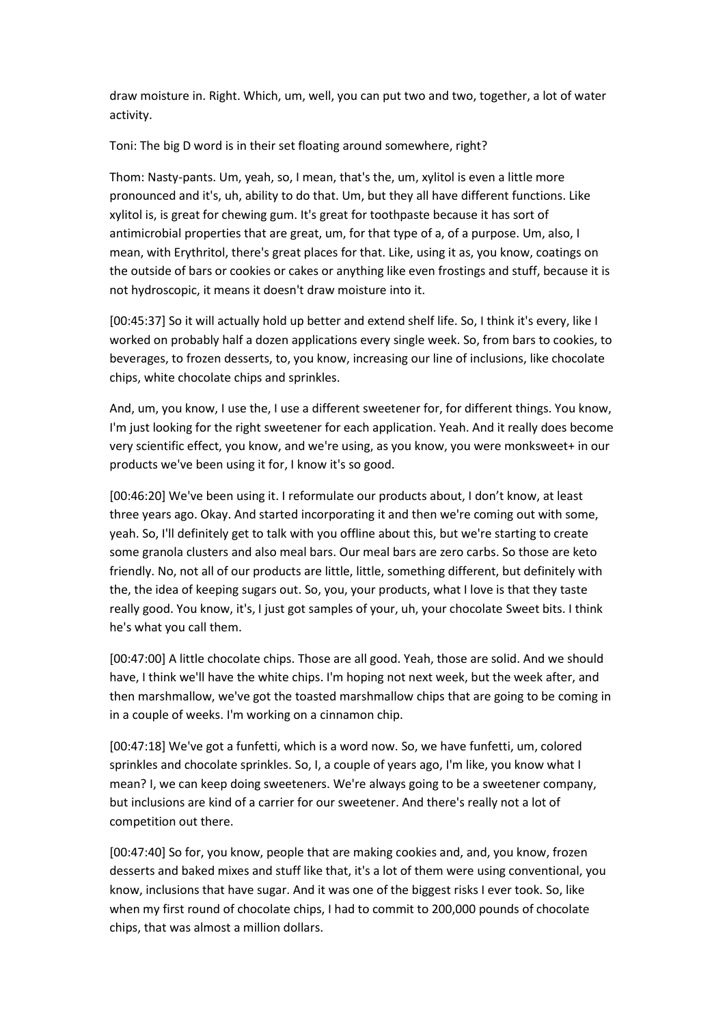draw moisture in. Right. Which, um, well, you can put two and two, together, a lot of water activity.

Toni: The big D word is in their set floating around somewhere, right?

Thom: Nasty-pants. Um, yeah, so, I mean, that's the, um, xylitol is even a little more pronounced and it's, uh, ability to do that. Um, but they all have different functions. Like xylitol is, is great for chewing gum. It's great for toothpaste because it has sort of antimicrobial properties that are great, um, for that type of a, of a purpose. Um, also, I mean, with Erythritol, there's great places for that. Like, using it as, you know, coatings on the outside of bars or cookies or cakes or anything like even frostings and stuff, because it is not hydroscopic, it means it doesn't draw moisture into it.

[00:45:37] So it will actually hold up better and extend shelf life. So, I think it's every, like I worked on probably half a dozen applications every single week. So, from bars to cookies, to beverages, to frozen desserts, to, you know, increasing our line of inclusions, like chocolate chips, white chocolate chips and sprinkles.

And, um, you know, I use the, I use a different sweetener for, for different things. You know, I'm just looking for the right sweetener for each application. Yeah. And it really does become very scientific effect, you know, and we're using, as you know, you were monksweet+ in our products we've been using it for, I know it's so good.

[00:46:20] We've been using it. I reformulate our products about, I don't know, at least three years ago. Okay. And started incorporating it and then we're coming out with some, yeah. So, I'll definitely get to talk with you offline about this, but we're starting to create some granola clusters and also meal bars. Our meal bars are zero carbs. So those are keto friendly. No, not all of our products are little, little, something different, but definitely with the, the idea of keeping sugars out. So, you, your products, what I love is that they taste really good. You know, it's, I just got samples of your, uh, your chocolate Sweet bits. I think he's what you call them.

[00:47:00] A little chocolate chips. Those are all good. Yeah, those are solid. And we should have, I think we'll have the white chips. I'm hoping not next week, but the week after, and then marshmallow, we've got the toasted marshmallow chips that are going to be coming in in a couple of weeks. I'm working on a cinnamon chip.

[00:47:18] We've got a funfetti, which is a word now. So, we have funfetti, um, colored sprinkles and chocolate sprinkles. So, I, a couple of years ago, I'm like, you know what I mean? I, we can keep doing sweeteners. We're always going to be a sweetener company, but inclusions are kind of a carrier for our sweetener. And there's really not a lot of competition out there.

[00:47:40] So for, you know, people that are making cookies and, and, you know, frozen desserts and baked mixes and stuff like that, it's a lot of them were using conventional, you know, inclusions that have sugar. And it was one of the biggest risks I ever took. So, like when my first round of chocolate chips, I had to commit to 200,000 pounds of chocolate chips, that was almost a million dollars.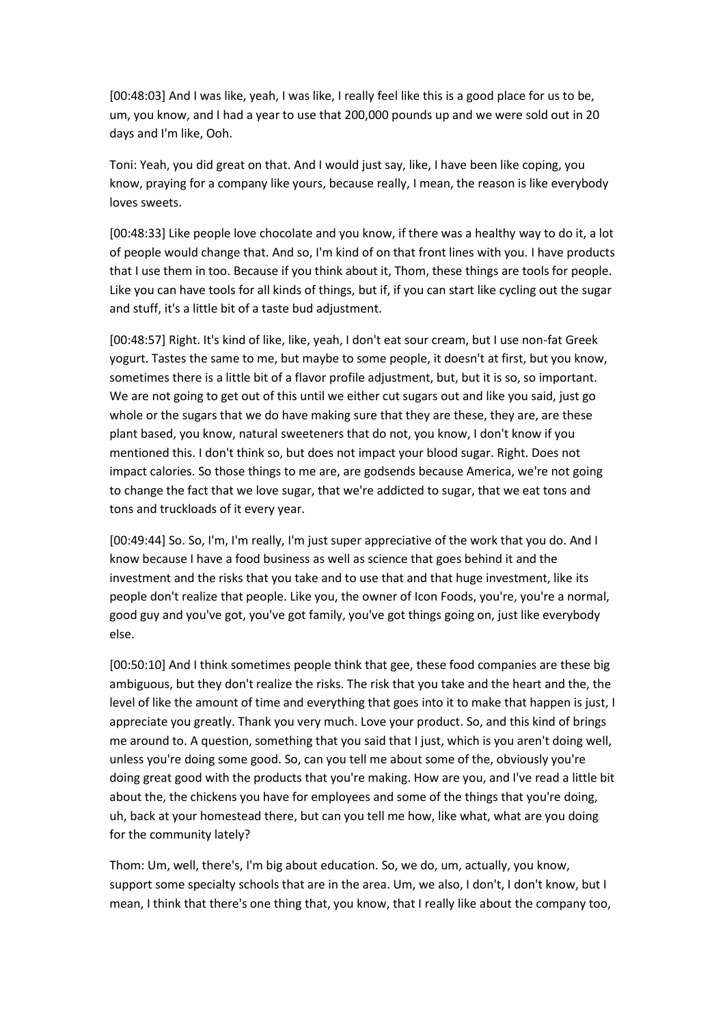[00:48:03] And I was like, yeah, I was like, I really feel like this is a good place for us to be, um, you know, and I had a year to use that 200,000 pounds up and we were sold out in 20 days and I'm like, Ooh.

Toni: Yeah, you did great on that. And I would just say, like, I have been like coping, you know, praying for a company like yours, because really, I mean, the reason is like everybody loves sweets.

[00:48:33] Like people love chocolate and you know, if there was a healthy way to do it, a lot of people would change that. And so, I'm kind of on that front lines with you. I have products that I use them in too. Because if you think about it, Thom, these things are tools for people. Like you can have tools for all kinds of things, but if, if you can start like cycling out the sugar and stuff, it's a little bit of a taste bud adjustment.

[00:48:57] Right. It's kind of like, like, yeah, I don't eat sour cream, but I use non-fat Greek yogurt. Tastes the same to me, but maybe to some people, it doesn't at first, but you know, sometimes there is a little bit of a flavor profile adjustment, but, but it is so, so important. We are not going to get out of this until we either cut sugars out and like you said, just go whole or the sugars that we do have making sure that they are these, they are, are these plant based, you know, natural sweeteners that do not, you know, I don't know if you mentioned this. I don't think so, but does not impact your blood sugar. Right. Does not impact calories. So those things to me are, are godsends because America, we're not going to change the fact that we love sugar, that we're addicted to sugar, that we eat tons and tons and truckloads of it every year.

[00:49:44] So. So, I'm, I'm really, I'm just super appreciative of the work that you do. And I know because I have a food business as well as science that goes behind it and the investment and the risks that you take and to use that and that huge investment, like its people don't realize that people. Like you, the owner of Icon Foods, you're, you're a normal, good guy and you've got, you've got family, you've got things going on, just like everybody else.

[00:50:10] And I think sometimes people think that gee, these food companies are these big ambiguous, but they don't realize the risks. The risk that you take and the heart and the, the level of like the amount of time and everything that goes into it to make that happen is just, I appreciate you greatly. Thank you very much. Love your product. So, and this kind of brings me around to. A question, something that you said that I just, which is you aren't doing well, unless you're doing some good. So, can you tell me about some of the, obviously you're doing great good with the products that you're making. How are you, and I've read a little bit about the, the chickens you have for employees and some of the things that you're doing, uh, back at your homestead there, but can you tell me how, like what, what are you doing for the community lately?

Thom: Um, well, there's, I'm big about education. So, we do, um, actually, you know, support some specialty schools that are in the area. Um, we also, I don't, I don't know, but I mean, I think that there's one thing that, you know, that I really like about the company too,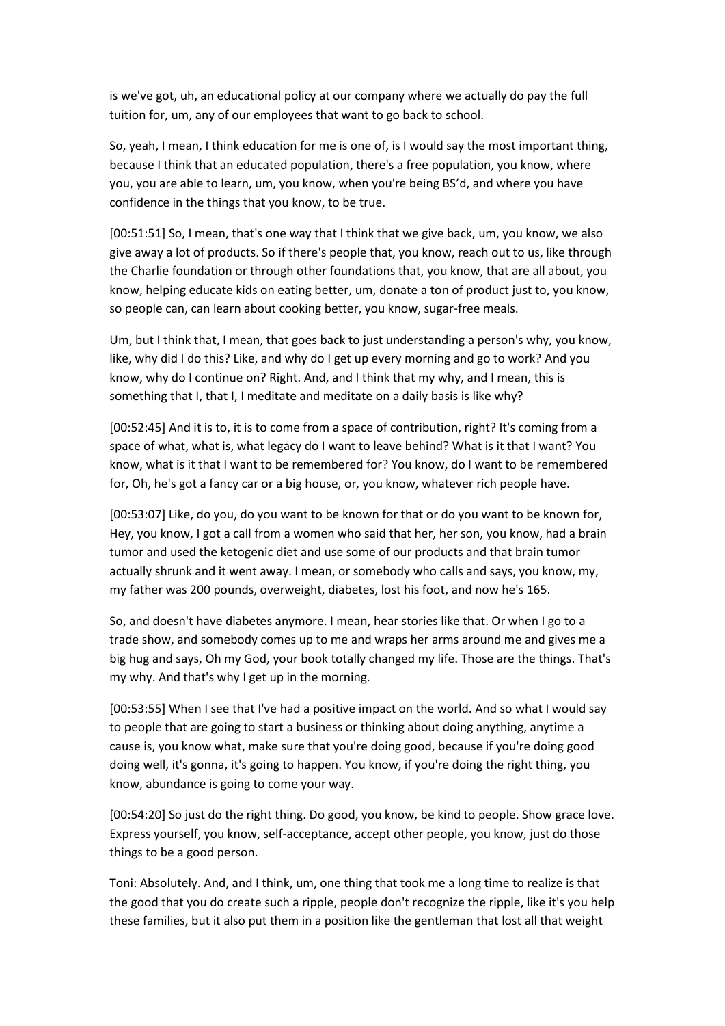is we've got, uh, an educational policy at our company where we actually do pay the full tuition for, um, any of our employees that want to go back to school.

So, yeah, I mean, I think education for me is one of, is I would say the most important thing, because I think that an educated population, there's a free population, you know, where you, you are able to learn, um, you know, when you're being BS'd, and where you have confidence in the things that you know, to be true.

[00:51:51] So, I mean, that's one way that I think that we give back, um, you know, we also give away a lot of products. So if there's people that, you know, reach out to us, like through the Charlie foundation or through other foundations that, you know, that are all about, you know, helping educate kids on eating better, um, donate a ton of product just to, you know, so people can, can learn about cooking better, you know, sugar-free meals.

Um, but I think that, I mean, that goes back to just understanding a person's why, you know, like, why did I do this? Like, and why do I get up every morning and go to work? And you know, why do I continue on? Right. And, and I think that my why, and I mean, this is something that I, that I, I meditate and meditate on a daily basis is like why?

[00:52:45] And it is to, it is to come from a space of contribution, right? It's coming from a space of what, what is, what legacy do I want to leave behind? What is it that I want? You know, what is it that I want to be remembered for? You know, do I want to be remembered for, Oh, he's got a fancy car or a big house, or, you know, whatever rich people have.

[00:53:07] Like, do you, do you want to be known for that or do you want to be known for, Hey, you know, I got a call from a women who said that her, her son, you know, had a brain tumor and used the ketogenic diet and use some of our products and that brain tumor actually shrunk and it went away. I mean, or somebody who calls and says, you know, my, my father was 200 pounds, overweight, diabetes, lost his foot, and now he's 165.

So, and doesn't have diabetes anymore. I mean, hear stories like that. Or when I go to a trade show, and somebody comes up to me and wraps her arms around me and gives me a big hug and says, Oh my God, your book totally changed my life. Those are the things. That's my why. And that's why I get up in the morning.

[00:53:55] When I see that I've had a positive impact on the world. And so what I would say to people that are going to start a business or thinking about doing anything, anytime a cause is, you know what, make sure that you're doing good, because if you're doing good doing well, it's gonna, it's going to happen. You know, if you're doing the right thing, you know, abundance is going to come your way.

[00:54:20] So just do the right thing. Do good, you know, be kind to people. Show grace love. Express yourself, you know, self-acceptance, accept other people, you know, just do those things to be a good person.

Toni: Absolutely. And, and I think, um, one thing that took me a long time to realize is that the good that you do create such a ripple, people don't recognize the ripple, like it's you help these families, but it also put them in a position like the gentleman that lost all that weight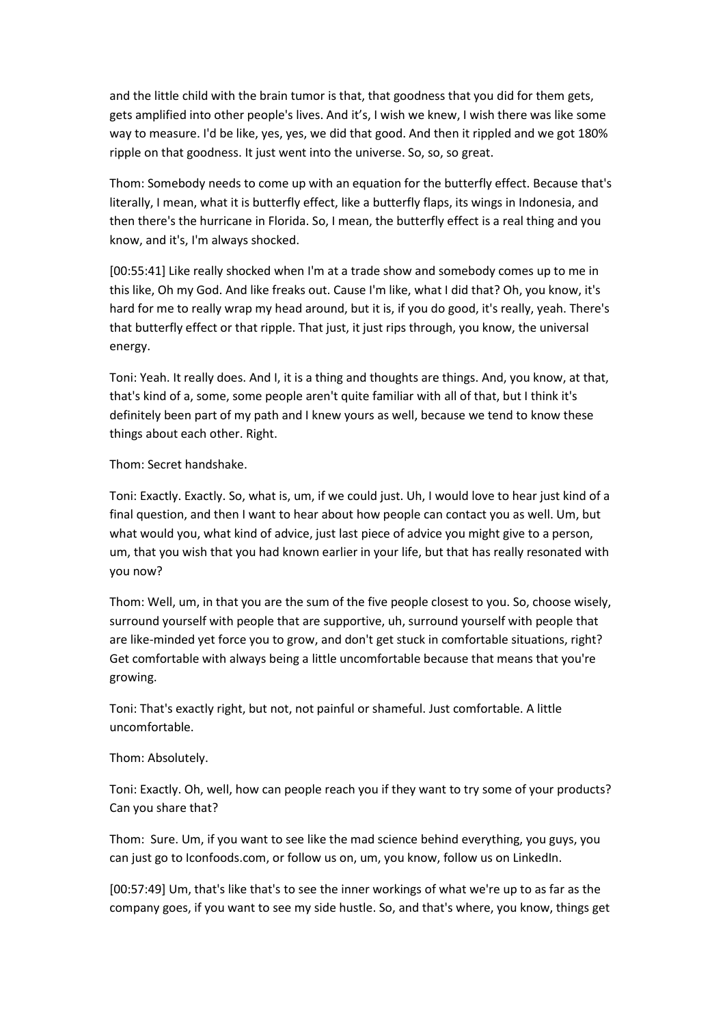and the little child with the brain tumor is that, that goodness that you did for them gets, gets amplified into other people's lives. And it's, I wish we knew, I wish there was like some way to measure. I'd be like, yes, yes, we did that good. And then it rippled and we got 180% ripple on that goodness. It just went into the universe. So, so, so great.

Thom: Somebody needs to come up with an equation for the butterfly effect. Because that's literally, I mean, what it is butterfly effect, like a butterfly flaps, its wings in Indonesia, and then there's the hurricane in Florida. So, I mean, the butterfly effect is a real thing and you know, and it's, I'm always shocked.

[00:55:41] Like really shocked when I'm at a trade show and somebody comes up to me in this like, Oh my God. And like freaks out. Cause I'm like, what I did that? Oh, you know, it's hard for me to really wrap my head around, but it is, if you do good, it's really, yeah. There's that butterfly effect or that ripple. That just, it just rips through, you know, the universal energy.

Toni: Yeah. It really does. And I, it is a thing and thoughts are things. And, you know, at that, that's kind of a, some, some people aren't quite familiar with all of that, but I think it's definitely been part of my path and I knew yours as well, because we tend to know these things about each other. Right.

Thom: Secret handshake.

Toni: Exactly. Exactly. So, what is, um, if we could just. Uh, I would love to hear just kind of a final question, and then I want to hear about how people can contact you as well. Um, but what would you, what kind of advice, just last piece of advice you might give to a person, um, that you wish that you had known earlier in your life, but that has really resonated with you now?

Thom: Well, um, in that you are the sum of the five people closest to you. So, choose wisely, surround yourself with people that are supportive, uh, surround yourself with people that are like-minded yet force you to grow, and don't get stuck in comfortable situations, right? Get comfortable with always being a little uncomfortable because that means that you're growing.

Toni: That's exactly right, but not, not painful or shameful. Just comfortable. A little uncomfortable.

### Thom: Absolutely.

Toni: Exactly. Oh, well, how can people reach you if they want to try some of your products? Can you share that?

Thom: Sure. Um, if you want to see like the mad science behind everything, you guys, you can just go to Iconfoods.com, or follow us on, um, you know, follow us on LinkedIn.

[00:57:49] Um, that's like that's to see the inner workings of what we're up to as far as the company goes, if you want to see my side hustle. So, and that's where, you know, things get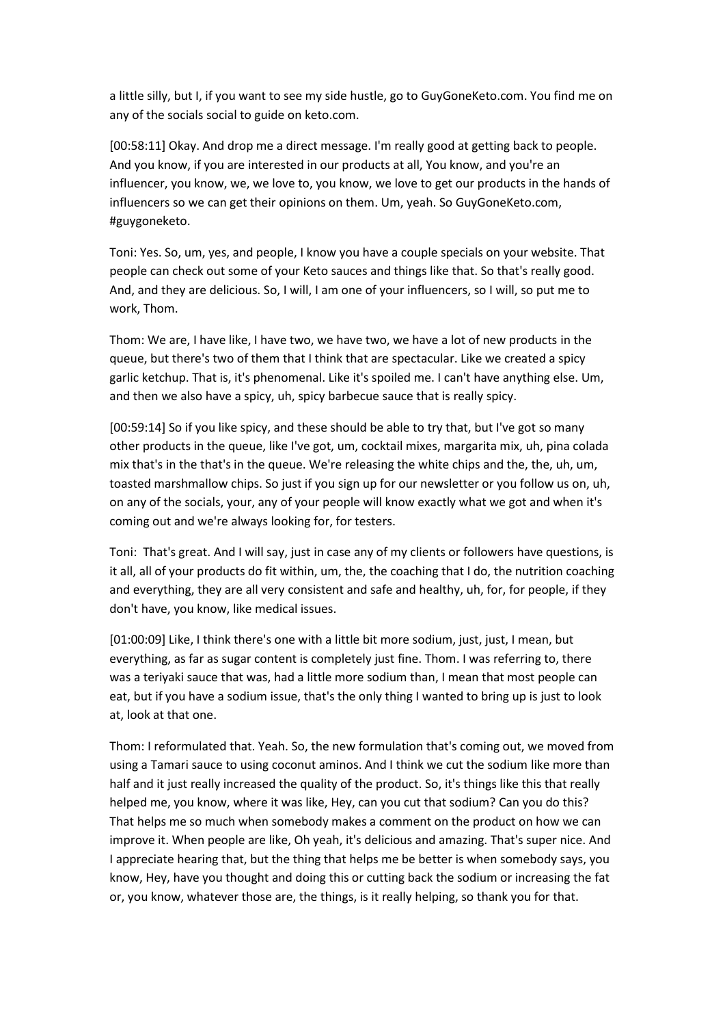a little silly, but I, if you want to see my side hustle, go to GuyGoneKeto.com. You find me on any of the socials social to guide on keto.com.

[00:58:11] Okay. And drop me a direct message. I'm really good at getting back to people. And you know, if you are interested in our products at all, You know, and you're an influencer, you know, we, we love to, you know, we love to get our products in the hands of influencers so we can get their opinions on them. Um, yeah. So GuyGoneKeto.com, #guygoneketo.

Toni: Yes. So, um, yes, and people, I know you have a couple specials on your website. That people can check out some of your Keto sauces and things like that. So that's really good. And, and they are delicious. So, I will, I am one of your influencers, so I will, so put me to work, Thom.

Thom: We are, I have like, I have two, we have two, we have a lot of new products in the queue, but there's two of them that I think that are spectacular. Like we created a spicy garlic ketchup. That is, it's phenomenal. Like it's spoiled me. I can't have anything else. Um, and then we also have a spicy, uh, spicy barbecue sauce that is really spicy.

[00:59:14] So if you like spicy, and these should be able to try that, but I've got so many other products in the queue, like I've got, um, cocktail mixes, margarita mix, uh, pina colada mix that's in the that's in the queue. We're releasing the white chips and the, the, uh, um, toasted marshmallow chips. So just if you sign up for our newsletter or you follow us on, uh, on any of the socials, your, any of your people will know exactly what we got and when it's coming out and we're always looking for, for testers.

Toni: That's great. And I will say, just in case any of my clients or followers have questions, is it all, all of your products do fit within, um, the, the coaching that I do, the nutrition coaching and everything, they are all very consistent and safe and healthy, uh, for, for people, if they don't have, you know, like medical issues.

[01:00:09] Like, I think there's one with a little bit more sodium, just, just, I mean, but everything, as far as sugar content is completely just fine. Thom. I was referring to, there was a teriyaki sauce that was, had a little more sodium than, I mean that most people can eat, but if you have a sodium issue, that's the only thing I wanted to bring up is just to look at, look at that one.

Thom: I reformulated that. Yeah. So, the new formulation that's coming out, we moved from using a Tamari sauce to using coconut aminos. And I think we cut the sodium like more than half and it just really increased the quality of the product. So, it's things like this that really helped me, you know, where it was like, Hey, can you cut that sodium? Can you do this? That helps me so much when somebody makes a comment on the product on how we can improve it. When people are like, Oh yeah, it's delicious and amazing. That's super nice. And I appreciate hearing that, but the thing that helps me be better is when somebody says, you know, Hey, have you thought and doing this or cutting back the sodium or increasing the fat or, you know, whatever those are, the things, is it really helping, so thank you for that.